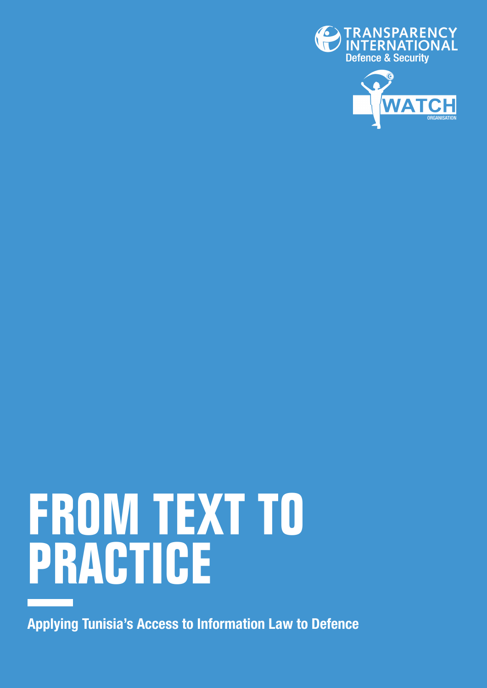



# **FROM TEXT TO PRACTICE**

Applying Tunisia's Access to Information Law to Defence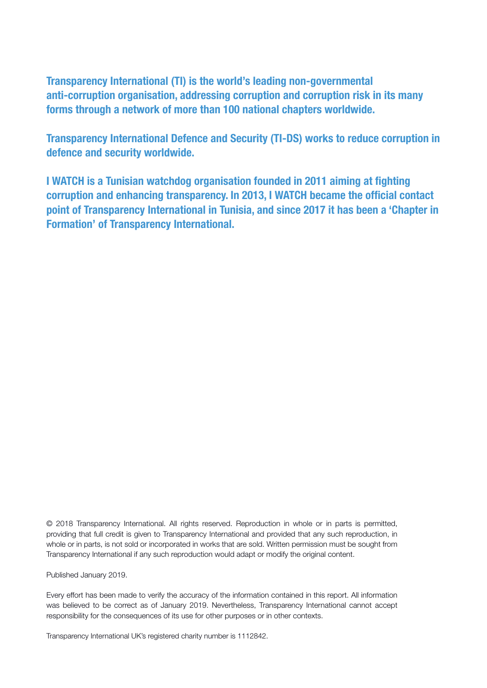Transparency International (TI) is the world's leading non-governmental anti-corruption organisation, addressing corruption and corruption risk in its many forms through a network of more than 100 national chapters worldwide.

Transparency International Defence and Security (TI-DS) works to reduce corruption in defence and security worldwide.

I WATCH is a Tunisian watchdog organisation founded in 2011 aiming at fighting corruption and enhancing transparency. In 2013, I WATCH became the official contact point of Transparency International in Tunisia, and since 2017 it has been a 'Chapter in Formation' of Transparency International.

© 2018 Transparency International. All rights reserved. Reproduction in whole or in parts is permitted, providing that full credit is given to Transparency International and provided that any such reproduction, in whole or in parts, is not sold or incorporated in works that are sold. Written permission must be sought from Transparency International if any such reproduction would adapt or modify the original content.

Published January 2019.

Every effort has been made to verify the accuracy of the information contained in this report. All information was believed to be correct as of January 2019. Nevertheless, Transparency International cannot accept responsibility for the consequences of its use for other purposes or in other contexts.

Transparency International UK's registered charity number is 1112842.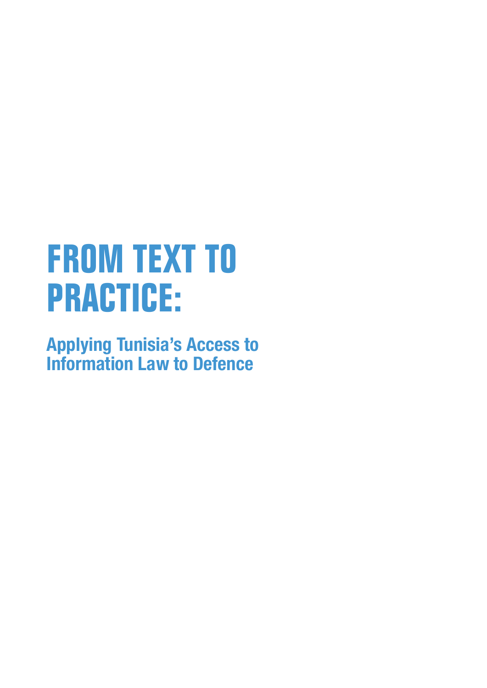## **FROM TEXT TO PRACTICE:**

Applying Tunisia's Access to Information Law to Defence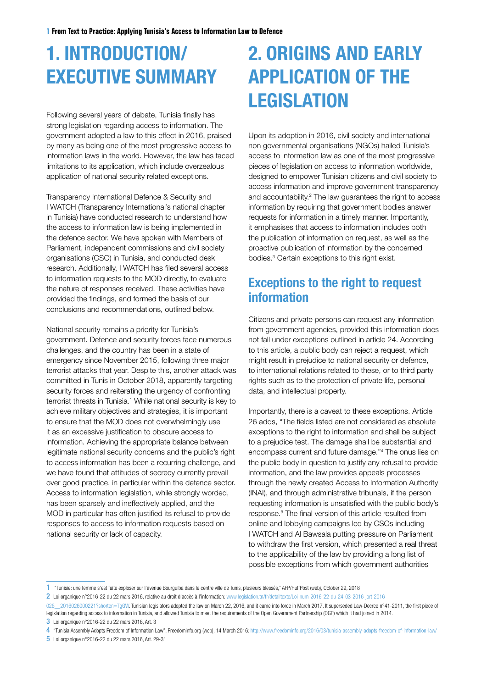### 1. INTRODUCTION/ EXECUTIVE SUMMARY

Following several years of debate, Tunisia finally has strong legislation regarding access to information. The government adopted a law to this effect in 2016, praised by many as being one of the most progressive access to information laws in the world. However, the law has faced limitations to its application, which include overzealous application of national security related exceptions.

Transparency International Defence & Security and I WATCH (Transparency International's national chapter in Tunisia) have conducted research to understand how the access to information law is being implemented in the defence sector. We have spoken with Members of Parliament, independent commissions and civil society organisations (CSO) in Tunisia, and conducted desk research. Additionally, I WATCH has filed several access to information requests to the MOD directly, to evaluate the nature of responses received. These activities have provided the findings, and formed the basis of our conclusions and recommendations, outlined below.

National security remains a priority for Tunisia's government. Defence and security forces face numerous challenges, and the country has been in a state of emergency since November 2015, following three major terrorist attacks that year. Despite this, another attack was committed in Tunis in October 2018, apparently targeting security forces and reiterating the urgency of confronting terrorist threats in Tunisia.<sup>1</sup> While national security is key to achieve military objectives and strategies, it is important to ensure that the MOD does not overwhelmingly use it as an excessive justification to obscure access to information. Achieving the appropriate balance between legitimate national security concerns and the public's right to access information has been a recurring challenge, and we have found that attitudes of secrecy currently prevail over good practice, in particular within the defence sector. Access to information legislation, while strongly worded, has been sparsely and ineffectively applied, and the MOD in particular has often justified its refusal to provide responses to access to information requests based on national security or lack of capacity.

### 2. ORIGINS AND EARLY APPLICATION OF THE **LEGISLATION**

Upon its adoption in 2016, civil society and international non governmental organisations (NGOs) hailed Tunisia's access to information law as one of the most progressive pieces of legislation on access to information worldwide, designed to empower Tunisian citizens and civil society to access information and improve government transparency and accountability.<sup>2</sup> The law guarantees the right to access information by requiring that government bodies answer requests for information in a timely manner. Importantly, it emphasises that access to information includes both the publication of information on request, as well as the proactive publication of information by the concerned bodies.<sup>3</sup> Certain exceptions to this right exist.

### Exceptions to the right to request information

Citizens and private persons can request any information from government agencies, provided this information does not fall under exceptions outlined in article 24. According to this article, a public body can reject a request, which might result in prejudice to national security or defence, to international relations related to these, or to third party rights such as to the protection of private life, personal data, and intellectual property.

Importantly, there is a caveat to these exceptions. Article 26 adds, "The fields listed are not considered as absolute exceptions to the right to information and shall be subject to a prejudice test. The damage shall be substantial and encompass current and future damage."4 The onus lies on the public body in question to justify any refusal to provide information, and the law provides appeals processes through the newly created Access to Information Authority (INAI), and through administrative tribunals, if the person requesting information is unsatisfied with the public body's response.<sup>5</sup> The final version of this article resulted from online and lobbying campaigns led by CSOs including I WATCH and Al Bawsala putting pressure on Parliament to withdraw the first version, which presented a real threat to the applicability of the law by providing a long list of possible exceptions from which government authorities

3 Loi organique n°2016-22 du 22 mars 2016, Art. 3

5 Loi organique n°2016-22 du 22 mars 2016, Art. 29-31

<sup>1</sup> "Tunisie: une femme s'est faite exploser sur l'avenue Bourguiba dans le centre ville de Tunis, plusieurs blessés," AFP/HuffPost (web), October 29, 2018

<sup>2</sup> Loi organique n°2016-22 du 22 mars 2016, relative au droit d'accès à l'information: [www.legislation.tn/fr/detailtexte/Loi-num-2016-22-du-24-03-2016-jort-2016-](http://www.legislation.tn/fr/detailtexte/Loi-num-2016-22-du-24-03-2016-jort-2016-026__2016026000221?shorten=TgGW)

<sup>026 2016026000221?</sup>shorten=TgGW. Tunisian legislators adopted the law on March 22, 2016, and it came into force in March 2017. It superseded Law-Decree n°41-2011, the first piece of legislation regarding access to information in Tunisia, and allowed Tunisia to meet the requirements of the Open Government Partnership (OGP) which it had joined in 2014.

<sup>4</sup> "Tunisia Assembly Adopts Freedom of Information Law", Freedominfo.org (web), 14 March 2016: <http://www.freedominfo.org/2016/03/tunisia-assembly-adopts-freedom-of-information-law/>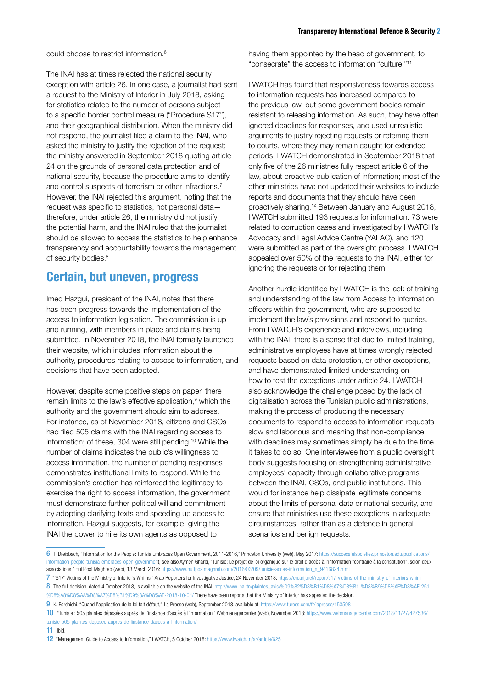could choose to restrict information.6

The INAI has at times rejected the national security exception with article 26. In one case, a journalist had sent a request to the Ministry of Interior in July 2018, asking for statistics related to the number of persons subject to a specific border control measure ("Procedure S17"), and their geographical distribution. When the ministry did not respond, the journalist filed a claim to the INAI, who asked the ministry to justify the rejection of the request; the ministry answered in September 2018 quoting article 24 on the grounds of personal data protection and of national security, because the procedure aims to identify and control suspects of terrorism or other infractions.<sup>7</sup> However, the INAI rejected this argument, noting that the request was specific to statistics, not personal data therefore, under article 26, the ministry did not justify the potential harm, and the INAI ruled that the journalist should be allowed to access the statistics to help enhance transparency and accountability towards the management of security bodies.<sup>8</sup>

#### Certain, but uneven, progress

Imed Hazgui, president of the INAI, notes that there has been progress towards the implementation of the access to information legislation. The commission is up and running, with members in place and claims being submitted. In November 2018, the INAI formally launched their website, which includes information about the authority, procedures relating to access to information, and decisions that have been adopted.

However, despite some positive steps on paper, there remain limits to the law's effective application,<sup>9</sup> which the authority and the government should aim to address. For instance, as of November 2018, citizens and CSOs had filed 505 claims with the INAI regarding access to information; of these, 304 were still pending.10 While the number of claims indicates the public's willingness to access information, the number of pending responses demonstrates institutional limits to respond. While the commission's creation has reinforced the legitimacy to exercise the right to access information, the government must demonstrate further political will and commitment by adopting clarifying texts and speeding up access to information. Hazgui suggests, for example, giving the INAI the power to hire its own agents as opposed to

having them appointed by the head of government, to "consecrate" the access to information "culture."11

I WATCH has found that responsiveness towards access to information requests has increased compared to the previous law, but some government bodies remain resistant to releasing information. As such, they have often ignored deadlines for responses, and used unrealistic arguments to justify rejecting requests or referring them to courts, where they may remain caught for extended periods. I WATCH demonstrated in September 2018 that only five of the 26 ministries fully respect article 6 of the law, about proactive publication of information; most of the other ministries have not updated their websites to include reports and documents that they should have been proactively sharing.12 Between January and August 2018, I WATCH submitted 193 requests for information. 73 were related to corruption cases and investigated by I WATCH's Advocacy and Legal Advice Centre (YALAC), and 120 were submitted as part of the oversight process. I WATCH appealed over 50% of the requests to the INAI, either for ignoring the requests or for rejecting them.

Another hurdle identified by I WATCH is the lack of training and understanding of the law from Access to Information officers within the government, who are supposed to implement the law's provisions and respond to queries. From I WATCH's experience and interviews, including with the INAI, there is a sense that due to limited training, administrative employees have at times wrongly rejected requests based on data protection, or other exceptions, and have demonstrated limited understanding on how to test the exceptions under article 24. I WATCH also acknowledge the challenge posed by the lack of digitalisation across the Tunisian public administrations, making the process of producing the necessary documents to respond to access to information requests slow and laborious and meaning that non-compliance with deadlines may sometimes simply be due to the time it takes to do so. One interviewee from a public oversight body suggests focusing on strengthening administrative employees' capacity through collaborative programs between the INAI, CSOs, and public institutions. This would for instance help dissipate legitimate concerns about the limits of personal data or national security, and ensure that ministries use these exceptions in adequate circumstances, rather than as a defence in general scenarios and benign requests.

11 Ibid.

<sup>6</sup> T. Dreisbach, "Information for the People: Tunisia Embraces Open Government, 2011-2016," Princeton University (web), May 2017: [https://successfulsocieties.princeton.edu/publications/](https://successfulsocieties.princeton.edu/publications/information-people-tunisia-embraces-open-government) [information-people-tunisia-embraces-open-government;](https://successfulsocieties.princeton.edu/publications/information-people-tunisia-embraces-open-government) see also Aymen Gharbi, "Tunisie: Le projet de loi organique sur le droit d'accès à l'information "contraire à la constitution", selon deux associations," HuffPost Maghreb (web), 13 March 2016: [https://www.huffpostmaghreb.com/2016/03/09/tunisie-acces-information\\_n\\_9416824.html](https://www.huffpostmaghreb.com/2016/03/09/tunisie-acces-information_n_9416824.html) 

<sup>7 &</sup>quot;S17' Victims of the Ministry of Interior's Whims," Arab Reporters for Investigative Justice, 24 November 2018: <https://en.arij.net/report/s17-victims-of-the-ministry-of-interiors-whim> 8 The full decision, dated 4 October 2018, is available on the website of the INAI: [http://www.inai.tn/plaintes\\_avis/%D9%82%D8%B1%D8%A7%D8%B1-%D8%B9%D8%AF%D8%AF-251-](http://www.inai.tn/plaintes_avis/%D9%82%D8%B1%D8%A7%D8%B1-%D8%B9%D8%AF%D8%AF-251-%D8%A8%D8%AA%D8%A7%D8%B1%D9%8A%D8%AE-2018-10-04/) [%D8%A8%D8%AA%D8%A7%D8%B1%D9%8A%D8%AE-2018-10-04/](http://www.inai.tn/plaintes_avis/%D9%82%D8%B1%D8%A7%D8%B1-%D8%B9%D8%AF%D8%AF-251-%D8%A8%D8%AA%D8%A7%D8%B1%D9%8A%D8%AE-2018-10-04/) There have been reports that the Ministry of Interior has appealed the decision.

<sup>9</sup> K. Ferchichi, "Quand l'application de la loi fait défaut," La Presse (web), September 2018, available at:<https://www.turess.com/fr/lapresse/153598>

<sup>10</sup> "Tunisie : 505 plaintes déposées auprès de l'instance d'accès à l'information," Webmanagercenter (web), November 2018: [https://www.webmanagercenter.com/2018/11/27/427536/](https://www.webmanagercenter.com/2018/11/27/427536/tunisie-505-plaintes-deposee-aupres-de-linstance-dacces-a-linformation/) [tunisie-505-plaintes-deposee-aupres-de-linstance-dacces-a-linformation/](https://www.webmanagercenter.com/2018/11/27/427536/tunisie-505-plaintes-deposee-aupres-de-linstance-dacces-a-linformation/)

<sup>12</sup> "Management Guide to Access to Information," I WATCH, 5 October 2018: <https://www.iwatch.tn/ar/article/625>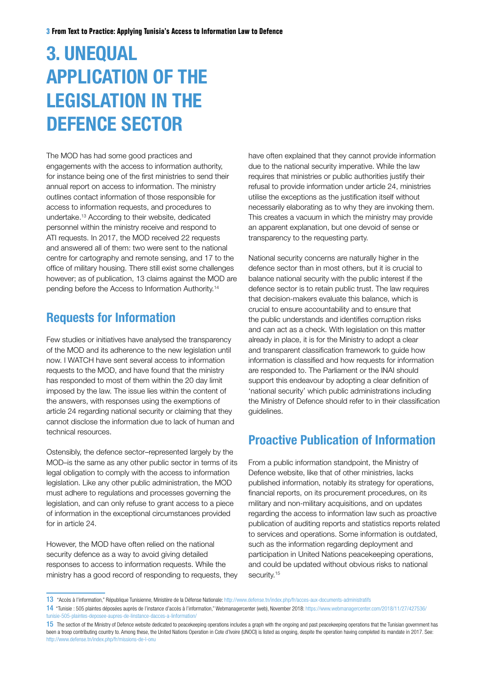### 3. UNEQUAL APPLICATION OF THE LEGISLATION IN THE DEFENCE SECTOR

The MOD has had some good practices and engagements with the access to information authority, for instance being one of the first ministries to send their annual report on access to information. The ministry outlines contact information of those responsible for access to information requests, and procedures to undertake.13 According to their website, dedicated personnel within the ministry receive and respond to ATI requests. In 2017, the MOD received 22 requests and answered all of them: two were sent to the national centre for cartography and remote sensing, and 17 to the office of military housing. There still exist some challenges however; as of publication, 13 claims against the MOD are pending before the Access to Information Authority.14

### Requests for Information

Few studies or initiatives have analysed the transparency of the MOD and its adherence to the new legislation until now. I WATCH have sent several access to information requests to the MOD, and have found that the ministry has responded to most of them within the 20 day limit imposed by the law. The issue lies within the content of the answers, with responses using the exemptions of article 24 regarding national security or claiming that they cannot disclose the information due to lack of human and technical resources.

Ostensibly, the defence sector–represented largely by the MOD–is the same as any other public sector in terms of its legal obligation to comply with the access to information legislation. Like any other public administration, the MOD must adhere to regulations and processes governing the legislation, and can only refuse to grant access to a piece of information in the exceptional circumstances provided for in article 24.

However, the MOD have often relied on the national security defence as a way to avoid giving detailed responses to access to information requests. While the ministry has a good record of responding to requests, they have often explained that they cannot provide information due to the national security imperative. While the law requires that ministries or public authorities justify their refusal to provide information under article 24, ministries utilise the exceptions as the justification itself without necessarily elaborating as to why they are invoking them. This creates a vacuum in which the ministry may provide an apparent explanation, but one devoid of sense or transparency to the requesting party.

National security concerns are naturally higher in the defence sector than in most others, but it is crucial to balance national security with the public interest if the defence sector is to retain public trust. The law requires that decision-makers evaluate this balance, which is crucial to ensure accountability and to ensure that the public understands and identifies corruption risks and can act as a check. With legislation on this matter already in place, it is for the Ministry to adopt a clear and transparent classification framework to guide how information is classified and how requests for information are responded to. The Parliament or the INAI should support this endeavour by adopting a clear definition of 'national security' which public administrations including the Ministry of Defence should refer to in their classification guidelines.

### Proactive Publication of Information

From a public information standpoint, the Ministry of Defence website, like that of other ministries, lacks published information, notably its strategy for operations, financial reports, on its procurement procedures, on its military and non-military acquisitions, and on updates regarding the access to information law such as proactive publication of auditing reports and statistics reports related to services and operations. Some information is outdated, such as the information regarding deployment and participation in United Nations peacekeeping operations, and could be updated without obvious risks to national security.<sup>15</sup>

<sup>13</sup> "Accès à l'information," République Tunisienne, Ministère de la Défense Nationale: <http://www.defense.tn/index.php/fr/acces-aux-documents-administratifs>

<sup>14</sup> "Tunisie : 505 plaintes déposées auprès de l'instance d'accès à l'information," Webmanagercenter (web), November 2018: [https://www.webmanagercenter.com/2018/11/27/427536/](https://www.webmanagercenter.com/2018/11/27/427536/tunisie-505-plaintes-deposee-aupres-de-linstance-dacces-a-linformation/) [tunisie-505-plaintes-deposee-aupres-de-linstance-dacces-a-linformation/](https://www.webmanagercenter.com/2018/11/27/427536/tunisie-505-plaintes-deposee-aupres-de-linstance-dacces-a-linformation/)

<sup>15</sup> The section of the Ministry of Defence website dedicated to peacekeeping operations includes a graph with the ongoing and past peacekeeping operations that the Tunisian government has been a troop contributing country to. Among these, the United Nations Operation in Cote d'Ivoire (UNOCI) is listed as ongoing, despite the operation having completed its mandate in 2017. See: <http://www.defense.tn/index.php/fr/missions-de-l-onu>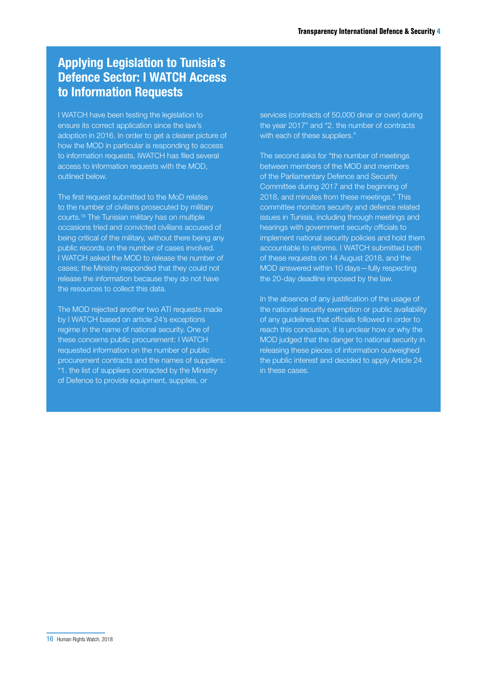### Applying Legislation to Tunisia's Defence Sector: I WATCH Access to Information Requests

I WATCH have been testing the legislation to ensure its correct application since the law's adoption in 2016. In order to get a clearer picture of how the MOD in particular is responding to access to information requests, IWATCH has filed several access to information requests with the MOD, outlined below.

The first request submitted to the MoD relates to the number of civilians prosecuted by military courts.16 The Tunisian military has on multiple occasions tried and convicted civilians accused of being critical of the military, without there being any public records on the number of cases involved. I WATCH asked the MOD to release the number of cases; the Ministry responded that they could not release the information because they do not have the resources to collect this data.

The MOD rejected another two ATI requests made by I WATCH based on article 24's exceptions regime in the name of national security. One of these concerns public procurement: I WATCH requested information on the number of public procurement contracts and the names of suppliers: "1. the list of suppliers contracted by the Ministry of Defence to provide equipment, supplies, or

services (contracts of 50,000 dinar or over) during the year 2017" and "2. the number of contracts with each of these suppliers."

The second asks for "the number of meetings between members of the MOD and members of the Parliamentary Defence and Security Committee during 2017 and the beginning of 2018, and minutes from these meetings." This committee monitors security and defence related issues in Tunisia, including through meetings and hearings with government security officials to implement national security policies and hold them accountable to reforms. I WATCH submitted both of these requests on 14 August 2018, and the MOD answered within 10 days—fully respecting the 20-day deadline imposed by the law.

In the absence of any justification of the usage of the national security exemption or public availability of any guidelines that officials followed in order to reach this conclusion, it is unclear how or why the MOD judged that the danger to national security in releasing these pieces of information outweighed the public interest and decided to apply Article 24 in these cases.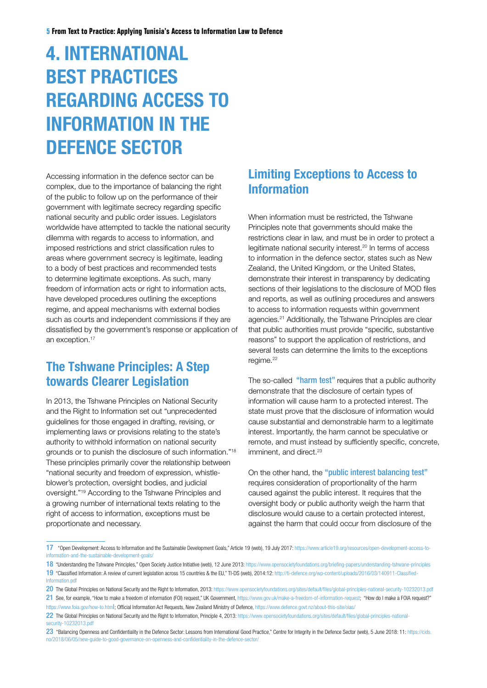### 4. INTERNATIONAL BEST PRACTICES REGARDING ACCESS TO INFORMATION IN THE DEFENCE SECTOR

Accessing information in the defence sector can be complex, due to the importance of balancing the right of the public to follow up on the performance of their government with legitimate secrecy regarding specific national security and public order issues. Legislators worldwide have attempted to tackle the national security dilemma with regards to access to information, and imposed restrictions and strict classification rules to areas where government secrecy is legitimate, leading to a body of best practices and recommended tests to determine legitimate exceptions. As such, many freedom of information acts or right to information acts, have developed procedures outlining the exceptions regime, and appeal mechanisms with external bodies such as courts and independent commissions if they are dissatisfied by the government's response or application of an exception.<sup>17</sup>

### The Tshwane Principles: A Step towards Clearer Legislation

In 2013, the Tshwane Principles on National Security and the Right to Information set out "unprecedented guidelines for those engaged in drafting, revising, or implementing laws or provisions relating to the state's authority to withhold information on national security grounds or to punish the disclosure of such information."18 These principles primarily cover the relationship between "national security and freedom of expression, whistleblower's protection, oversight bodies, and judicial oversight."19 According to the Tshwane Principles and a growing number of international texts relating to the right of access to information, exceptions must be proportionate and necessary.

### Limiting Exceptions to Access to Information

When information must be restricted, the Tshwane Principles note that governments should make the restrictions clear in law, and must be in order to protect a legitimate national security interest.20 In terms of access to information in the defence sector, states such as New Zealand, the United Kingdom, or the United States, demonstrate their interest in transparency by dedicating sections of their legislations to the disclosure of MOD files and reports, as well as outlining procedures and answers to access to information requests within government agencies.21 Additionally, the Tshwane Principles are clear that public authorities must provide "specific, substantive reasons" to support the application of restrictions, and several tests can determine the limits to the exceptions regime.<sup>22</sup>

The so-called "harm test" requires that a public authority demonstrate that the disclosure of certain types of information will cause harm to a protected interest. The state must prove that the disclosure of information would cause substantial and demonstrable harm to a legitimate interest. Importantly, the harm cannot be speculative or remote, and must instead by sufficiently specific, concrete, imminent, and direct.<sup>23</sup>

On the other hand, the "public interest balancing test" requires consideration of proportionality of the harm caused against the public interest. It requires that the oversight body or public authority weigh the harm that disclosure would cause to a certain protected interest, against the harm that could occur from disclosure of the

<sup>17</sup> "Open Development: Access to Information and the Sustainable Development Goals," Article 19 (web), 19 July 2017: [https://www.article19.org/resources/open-development-access-to](https://www.article19.org/resources/open-development-access-to-information-and-the-sustainable-development-goals/)[information-and-the-sustainable-development-goals/](https://www.article19.org/resources/open-development-access-to-information-and-the-sustainable-development-goals/)

<sup>18 &</sup>quot;Understanding the Tshwane Principles," Open Society Justice Initiative (web), 12 June 2013: <https://www.opensocietyfoundations.org/briefing-papers/understanding-tshwane-principles> 19 "Classified Information: A review of current legislation across 15 countries & the EU," TI-DS (web), 2014:12: [http://ti-defence.org/wp-content/uploads/2016/03/140911-Classified-](http://ti-defence.org/wp-content/uploads/2016/03/140911-Classified-Information.pdf)[Information.pdf](http://ti-defence.org/wp-content/uploads/2016/03/140911-Classified-Information.pdf)

<sup>20</sup> The Global Principles on National Security and the Right to Information, 2013:<https://www.opensocietyfoundations.org/sites/default/files/global-principles-national-security-10232013.pdf>

<sup>21</sup> See, for example, "How to make a freedom of information (FOI) request," UK Government, [https://www.gov.uk/make-a-freedom-of-information-request;](https://www.gov.uk/make-a-freedom-of-information-request) "How do I make a FOIA request?" [https://www.foia.gov/how-to.htm](https://www.foia.gov/how-to.html)l; Official Information Act Requests, New Zealand Ministry of Defence, <https://www.defence.govt.nz/about-this-site/oias/>

<sup>22</sup> The Global Principles on National Security and the Right to Information, Principle 4, 2013: [https://www.opensocietyfoundations.org/sites/default/files/global-principles-national](https://www.opensocietyfoundations.org/sites/default/files/global-principles-national-security-10232013.pdf)[security-10232013.pdf](https://www.opensocietyfoundations.org/sites/default/files/global-principles-national-security-10232013.pdf)

<sup>23 &</sup>quot;Balancing Openness and Confidentiality in the Defence Sector: Lessons from International Good Practice," Centre for Integrity in the Defence Sector (web), 5 June 2018: 11: [https://cids.](https://cids.no/2018/06/05/new-guide-to-good-governance-on-openness-and-confidentiality-in-the-defence-sector/) [no/2018/06/05/new-guide-to-good-governance-on-openness-and-confidentiality-in-the-defence-sector/](https://cids.no/2018/06/05/new-guide-to-good-governance-on-openness-and-confidentiality-in-the-defence-sector/)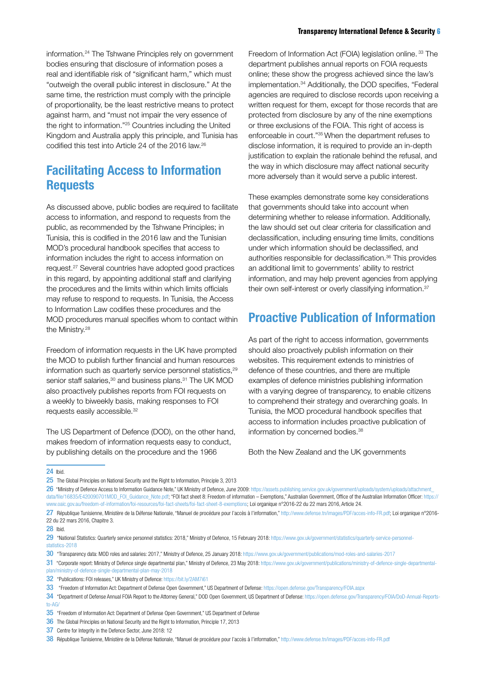information.24 The Tshwane Principles rely on government bodies ensuring that disclosure of information poses a real and identifiable risk of "significant harm," which must "outweigh the overall public interest in disclosure." At the same time, the restriction must comply with the principle of proportionality, be the least restrictive means to protect against harm, and "must not impair the very essence of the right to information."25 Countries including the United Kingdom and Australia apply this principle, and Tunisia has codified this test into Article 24 of the 2016 law.26

#### Facilitating Access to Information Requests

As discussed above, public bodies are required to facilitate access to information, and respond to requests from the public, as recommended by the Tshwane Principles; in Tunisia, this is codified in the 2016 law and the Tunisian MOD's procedural handbook specifies that access to information includes the right to access information on request.27 Several countries have adopted good practices in this regard, by appointing additional staff and clarifying the procedures and the limits within which limits officials may refuse to respond to requests. In Tunisia, the Access to Information Law codifies these procedures and the MOD procedures manual specifies whom to contact within the Ministry.<sup>28</sup>

Freedom of information requests in the UK have prompted the MOD to publish further financial and human resources information such as quarterly service personnel statistics,<sup>29</sup> senior staff salaries,<sup>30</sup> and business plans.<sup>31</sup> The UK MOD also proactively publishes reports from FOI requests on a weekly to biweekly basis, making responses to FOI requests easily accessible.<sup>32</sup>

The US Department of Defence (DOD), on the other hand, makes freedom of information requests easy to conduct, by publishing details on the procedure and the 1966

Freedom of Information Act (FOIA) legislation online.<sup>33</sup> The department publishes annual reports on FOIA requests online; these show the progress achieved since the law's implementation.34 Additionally, the DOD specifies, "Federal agencies are required to disclose records upon receiving a written request for them, except for those records that are protected from disclosure by any of the nine exemptions or three exclusions of the FOIA. This right of access is enforceable in court."35 When the department refuses to disclose information, it is required to provide an in-depth justification to explain the rationale behind the refusal, and the way in which disclosure may affect national security more adversely than it would serve a public interest.

These examples demonstrate some key considerations that governments should take into account when determining whether to release information. Additionally, the law should set out clear criteria for classification and declassification, including ensuring time limits, conditions under which information should be declassified, and authorities responsible for declassification.36 This provides an additional limit to governments' ability to restrict information, and may help prevent agencies from applying their own self-interest or overly classifying information.<sup>37</sup>

### Proactive Publication of Information

As part of the right to access information, governments should also proactively publish information on their websites. This requirement extends to ministries of defence of these countries, and there are multiple examples of defence ministries publishing information with a varying degree of transparency, to enable citizens to comprehend their strategy and overarching goals. In Tunisia, the MOD procedural handbook specifies that access to information includes proactive publication of information by concerned bodies.<sup>38</sup>

Both the New Zealand and the UK governments

24 Ibid.

25 The Global Principles on National Security and the Right to Information, Principle 3, 2013

26 "Ministry of Defence Access to Information Guidance Note," IIK Ministry of Defence, June 2009: https://assets.publishing.service.gov.uk/government/uploads/system/uploads/attachment [data/file/16835/E420090701MOD\\_FOI\\_Guidance\\_Note.pdf](https://assets.publishing.service.gov.uk/government/uploads/system/uploads/attachment_data/file/16835/E420090701MOD_FOI_Guidance_Note.pdf); "FOI fact sheet 8: Freedom of information – Exemptions," Australian Government, Office of the Australian Information Officer: [https://](https://www.oaic.gov.au/freedom-of-information/foi-resources/foi-fact-sheets/foi-fact-sheet-8-exemptions) [www.oaic.gov.au/freedom-of-information/foi-resources/foi-fact-sheets/foi-fact-sheet-8-exemptions](https://www.oaic.gov.au/freedom-of-information/foi-resources/foi-fact-sheets/foi-fact-sheet-8-exemptions); Loi organique n°2016-22 du 22 mars 2016, Article 24.

27 République Tunisienne, Ministère de la Défense Nationale, "Manuel de procédure pour l'accès à l'information," [http://www.defense.tn/images/PDF/acces-info-FR.pdf;](http://www.defense.tn/images/PDF/acces-info-FR.pdf) Loi organique n°2016- 22 du 22 mars 2016, Chapitre 3.

29 "National Statistics: Quarterly service personnel statistics: 2018," Ministry of Defence, 15 February 2018: [https://www.gov.uk/government/statistics/quarterly-service-personnel](https://www.gov.uk/government/statistics/quarterly-service-personnel-statistics-2018)[statistics-2018](https://www.gov.uk/government/statistics/quarterly-service-personnel-statistics-2018)

30 "Transparency data: MOD roles and salaries: 2017," Ministry of Defence, 25 January 2018:<https://www.gov.uk/government/publications/mod-roles-and-salaries-2017>

31 "Corporate report: Ministry of Defence single departmental plan," Ministry of Defence, 23 May 2018: [https://www.gov.uk/government/publications/ministry-of-defence-single-departmental](https://www.gov.uk/government/publications/ministry-of-defence-single-departmental-plan/ministry-of-defence-single-departmental-plan-may-2018)[plan/ministry-of-defence-single-departmental-plan-may-2018](https://www.gov.uk/government/publications/ministry-of-defence-single-departmental-plan/ministry-of-defence-single-departmental-plan-may-2018)

<sup>28</sup> Ibid.

<sup>32</sup> "Publications: FOI releases," UK Ministry of Defence:<https://bit.ly/2AM7i61>

<sup>33 &</sup>quot;Freedom of Information Act: Department of Defense Open Government." US Department of Defense: <https://open.defense.gov/Transparency/FOIA.aspx>

<sup>34 &</sup>quot;Department of Defense Annual FOIA Report to the Attorney General," DOD Open Government, US Department of Defense: [https://open.defense.gov/Transparency/FOIA/DoD-Annual-Reports](https://open.defense.gov/Transparency/FOIA/DoD-Annual-Reports-to-AG/)[to-AG/](https://open.defense.gov/Transparency/FOIA/DoD-Annual-Reports-to-AG/)

<sup>35 &</sup>quot;Freedom of Information Act: Department of Defense Open Government," US Department of Defense

<sup>36</sup> The Global Principles on National Security and the Right to Information, Principle 17, 2013

<sup>37</sup> Centre for Integrity in the Defence Sector, June 2018: 12

<sup>38</sup> République Tunisienne, Ministère de la Défense Nationale, "Manuel de procédure pour l'accès à l'information," <http://www.defense.tn/images/PDF/acces-info-FR.pdf>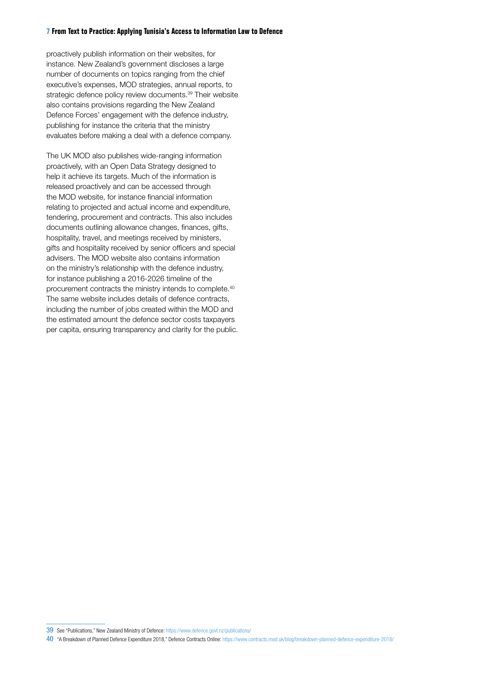#### **7 From Text to Practice: Applying Tunisia's Access to Information Law to Defence**

proactively publish information on their websites, for instance. New Zealand's government discloses a large number of documents on topics ranging from the chief executive's expenses, MOD strategies, annual reports, to strategic defence policy review documents.<sup>39</sup> Their website also contains provisions regarding the New Zealand Defence Forces' engagement with the defence industry, publishing for instance the criteria that the ministry evaluates before making a deal with a defence company.

The UK MOD also publishes wide-ranging information proactively, with an Open Data Strategy designed to help it achieve its targets. Much of the information is released proactively and can be accessed through the MOD website, for instance financial information relating to projected and actual income and expenditure, tendering, procurement and contracts. This also includes documents outlining allowance changes, finances, gifts, hospitality, travel, and meetings received by ministers, gifts and hospitality received by senior officers and special advisers. The MOD website also contains information on the ministry's relationship with the defence industry, for instance publishing a 2016-2026 timeline of the procurement contracts the ministry intends to complete.40 The same website includes details of defence contracts, including the number of jobs created within the MOD and the estimated amount the defence sector costs taxpayers per capita, ensuring transparency and clarity for the public.

<sup>39</sup> See "Publications," New Zealand Ministry of Defence: <https://www.defence.govt.nz/publications/>

<sup>40</sup> "A Breakdown of Planned Defence Expenditure 2018," Defence Contracts Online:<https://www.contracts.mod.uk/blog/breakdown-planned-defence-expenditure-2018/>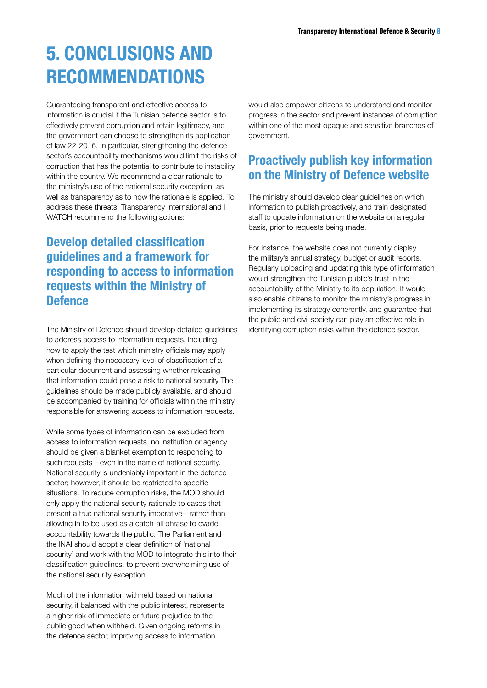### 5. CONCLUSIONS AND RECOMMENDATIONS

Guaranteeing transparent and effective access to information is crucial if the Tunisian defence sector is to effectively prevent corruption and retain legitimacy, and the government can choose to strengthen its application of law 22-2016. In particular, strengthening the defence sector's accountability mechanisms would limit the risks of corruption that has the potential to contribute to instability within the country. We recommend a clear rationale to the ministry's use of the national security exception, as well as transparency as to how the rationale is applied. To address these threats, Transparency International and I WATCH recommend the following actions:

### Develop detailed classification guidelines and a framework for responding to access to information requests within the Ministry of **Defence**

The Ministry of Defence should develop detailed guidelines to address access to information requests, including how to apply the test which ministry officials may apply when defining the necessary level of classification of a particular document and assessing whether releasing that information could pose a risk to national security The guidelines should be made publicly available, and should be accompanied by training for officials within the ministry responsible for answering access to information requests.

While some types of information can be excluded from access to information requests, no institution or agency should be given a blanket exemption to responding to such requests—even in the name of national security. National security is undeniably important in the defence sector; however, it should be restricted to specific situations. To reduce corruption risks, the MOD should only apply the national security rationale to cases that present a true national security imperative—rather than allowing in to be used as a catch-all phrase to evade accountability towards the public. The Parliament and the INAI should adopt a clear definition of 'national security' and work with the MOD to integrate this into their classification guidelines, to prevent overwhelming use of the national security exception.

Much of the information withheld based on national security, if balanced with the public interest, represents a higher risk of immediate or future prejudice to the public good when withheld. Given ongoing reforms in the defence sector, improving access to information

would also empower citizens to understand and monitor progress in the sector and prevent instances of corruption within one of the most opaque and sensitive branches of government.

### Proactively publish key information on the Ministry of Defence website

The ministry should develop clear guidelines on which information to publish proactively, and train designated staff to update information on the website on a regular basis, prior to requests being made.

For instance, the website does not currently display the military's annual strategy, budget or audit reports. Regularly uploading and updating this type of information would strengthen the Tunisian public's trust in the accountability of the Ministry to its population. It would also enable citizens to monitor the ministry's progress in implementing its strategy coherently, and guarantee that the public and civil society can play an effective role in identifying corruption risks within the defence sector.